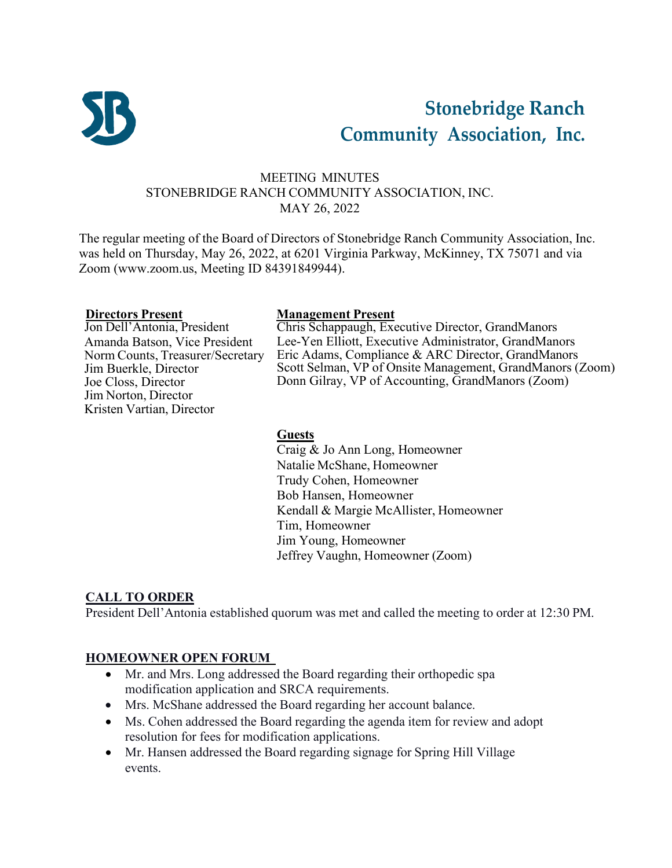

# **Stonebridge Ranch Community Association, Inc.**

# MEETING MINUTES STONEBRIDGE RANCH COMMUNITY ASSOCIATION, INC. MAY 26, 2022

The regular meeting of the Board of Directors of Stonebridge Ranch Community Association, Inc. was held on Thursday, May 26, 2022, at 6201 Virginia Parkway, McKinney, TX 75071 and via Zoom [\(www.zoom.us,](http://www.zoom.us/) Meeting ID 84391849944).

**Directors Present Management Present** Amanda Batson, Vice President Norm Counts, Treasurer/Secretary Jim Buerkle, Director Joe Closs, Director Jim Norton, Director Kristen Vartian, Director

Chris Schappaugh, Executive Director, GrandManors Lee-Yen Elliott, Executive Administrator, GrandManors Eric Adams, Compliance & ARC Director, GrandManors Scott Selman, VP of Onsite Management, GrandManors (Zoom) Donn Gilray, VP of Accounting, GrandManors (Zoom)

#### **Guests**

Craig & Jo Ann Long, Homeowner Natalie McShane, Homeowner Trudy Cohen, Homeowner Bob Hansen, Homeowner Kendall & Margie McAllister, Homeowner Tim, Homeowner Jim Young, Homeowner Jeffrey Vaughn, Homeowner (Zoom)

### **CALL TO ORDER**

President Dell'Antonia established quorum was met and called the meeting to order at 12:30 PM.

### **HOMEOWNER OPEN FORUM**

- Mr. and Mrs. Long addressed the Board regarding their orthopedic spa modification application and SRCA requirements.
- Mrs. McShane addressed the Board regarding her account balance.
- Ms. Cohen addressed the Board regarding the agenda item for review and adopt resolution for fees for modification applications.
- Mr. Hansen addressed the Board regarding signage for Spring Hill Village events.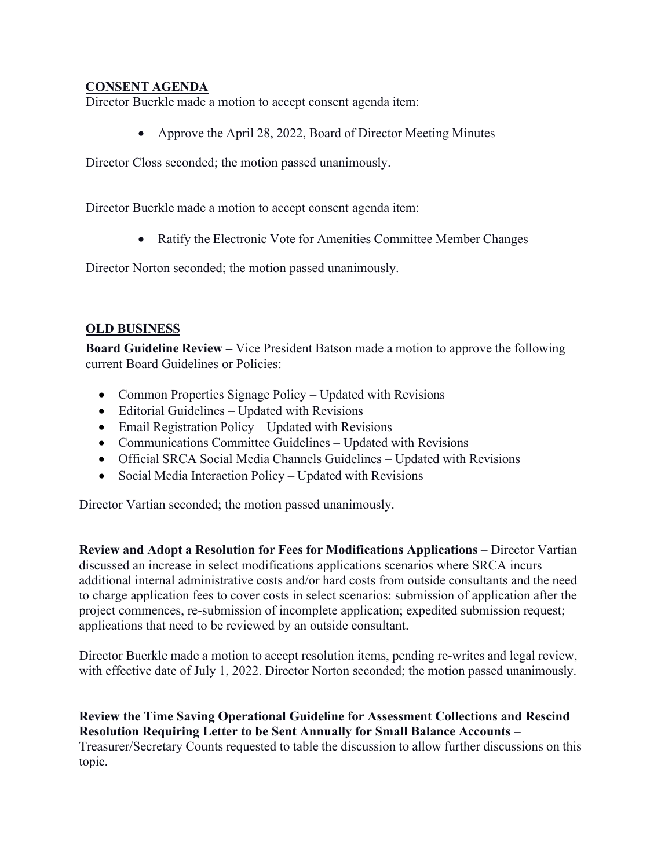#### **CONSENT AGENDA**

Director Buerkle made a motion to accept consent agenda item:

• Approve the April 28, 2022, Board of Director Meeting Minutes

Director Closs seconded; the motion passed unanimously.

Director Buerkle made a motion to accept consent agenda item:

• Ratify the Electronic Vote for Amenities Committee Member Changes

Director Norton seconded; the motion passed unanimously.

### **OLD BUSINESS**

**Board Guideline Review –** Vice President Batson made a motion to approve the following current Board Guidelines or Policies:

- Common Properties Signage Policy Updated with Revisions
- Editorial Guidelines Updated with Revisions
- Email Registration Policy Updated with Revisions
- Communications Committee Guidelines Updated with Revisions
- Official SRCA Social Media Channels Guidelines Updated with Revisions
- Social Media Interaction Policy Updated with Revisions

Director Vartian seconded; the motion passed unanimously.

**Review and Adopt a Resolution for Fees for Modifications Applications** – Director Vartian discussed an increase in select modifications applications scenarios where SRCA incurs additional internal administrative costs and/or hard costs from outside consultants and the need to charge application fees to cover costs in select scenarios: submission of application after the project commences, re-submission of incomplete application; expedited submission request; applications that need to be reviewed by an outside consultant.

Director Buerkle made a motion to accept resolution items, pending re-writes and legal review, with effective date of July 1, 2022. Director Norton seconded; the motion passed unanimously.

#### **Review the Time Saving Operational Guideline for Assessment Collections and Rescind Resolution Requiring Letter to be Sent Annually for Small Balance Accounts** –

Treasurer/Secretary Counts requested to table the discussion to allow further discussions on this topic.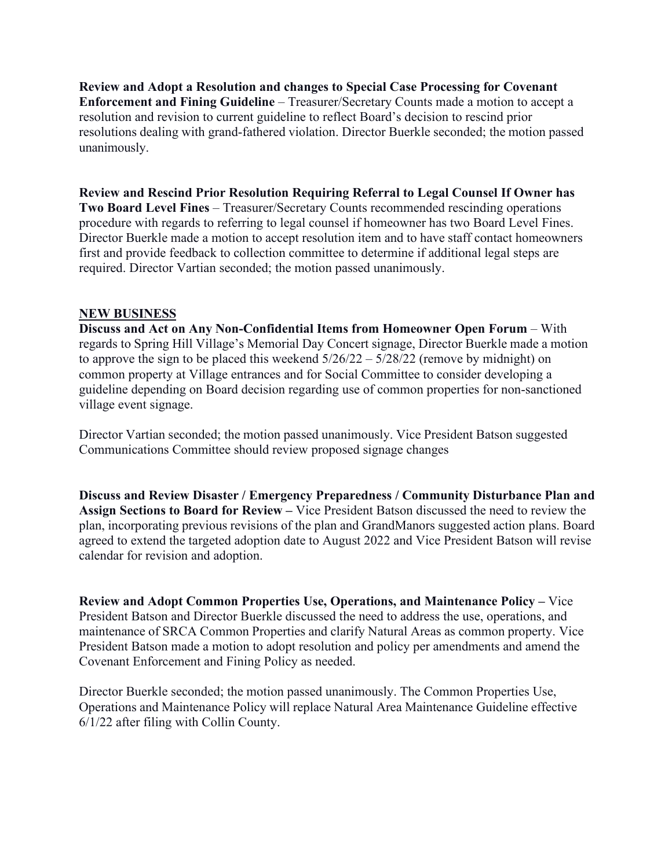**Review and Adopt a Resolution and changes to Special Case Processing for Covenant Enforcement and Fining Guideline** – Treasurer/Secretary Counts made a motion to accept a resolution and revision to current guideline to reflect Board's decision to rescind prior resolutions dealing with grand-fathered violation. Director Buerkle seconded; the motion passed unanimously.

**Review and Rescind Prior Resolution Requiring Referral to Legal Counsel If Owner has Two Board Level Fines** – Treasurer/Secretary Counts recommended rescinding operations procedure with regards to referring to legal counsel if homeowner has two Board Level Fines. Director Buerkle made a motion to accept resolution item and to have staff contact homeowners first and provide feedback to collection committee to determine if additional legal steps are required. Director Vartian seconded; the motion passed unanimously.

#### **NEW BUSINESS**

**Discuss and Act on Any Non-Confidential Items from Homeowner Open Forum** – With regards to Spring Hill Village's Memorial Day Concert signage, Director Buerkle made a motion to approve the sign to be placed this weekend  $5/26/22 - 5/28/22$  (remove by midnight) on common property at Village entrances and for Social Committee to consider developing a guideline depending on Board decision regarding use of common properties for non-sanctioned village event signage.

Director Vartian seconded; the motion passed unanimously. Vice President Batson suggested Communications Committee should review proposed signage changes

**Discuss and Review Disaster / Emergency Preparedness / Community Disturbance Plan and Assign Sections to Board for Review –** Vice President Batson discussed the need to review the plan, incorporating previous revisions of the plan and GrandManors suggested action plans. Board agreed to extend the targeted adoption date to August 2022 and Vice President Batson will revise calendar for revision and adoption.

**Review and Adopt Common Properties Use, Operations, and Maintenance Policy –** Vice President Batson and Director Buerkle discussed the need to address the use, operations, and maintenance of SRCA Common Properties and clarify Natural Areas as common property. Vice President Batson made a motion to adopt resolution and policy per amendments and amend the Covenant Enforcement and Fining Policy as needed.

Director Buerkle seconded; the motion passed unanimously. The Common Properties Use, Operations and Maintenance Policy will replace Natural Area Maintenance Guideline effective 6/1/22 after filing with Collin County.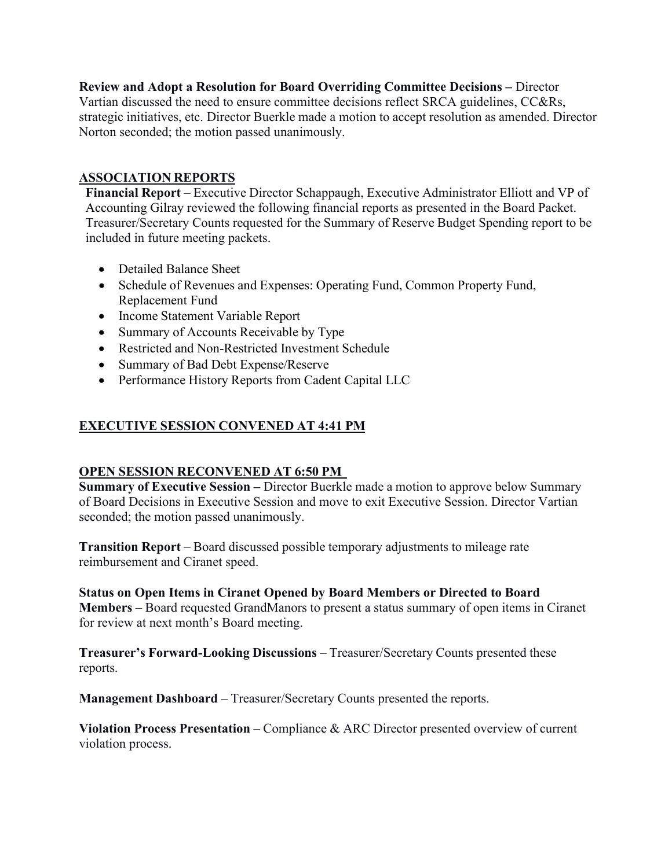**Review and Adopt a Resolution for Board Overriding Committee Decisions –** Director Vartian discussed the need to ensure committee decisions reflect SRCA guidelines, CC&Rs, strategic initiatives, etc. Director Buerkle made a motion to accept resolution as amended. Director Norton seconded; the motion passed unanimously.

# **ASSOCIATION REPORTS**

**Financial Report** – Executive Director Schappaugh, Executive Administrator Elliott and VP of Accounting Gilray reviewed the following financial reports as presented in the Board Packet. Treasurer/Secretary Counts requested for the Summary of Reserve Budget Spending report to be included in future meeting packets.

- Detailed Balance Sheet
- Schedule of Revenues and Expenses: Operating Fund, Common Property Fund, Replacement Fund
- Income Statement Variable Report
- Summary of Accounts Receivable by Type
- Restricted and Non-Restricted Investment Schedule
- Summary of Bad Debt Expense/Reserve
- Performance History Reports from Cadent Capital LLC

# **EXECUTIVE SESSION CONVENED AT 4:41 PM**

### **OPEN SESSION RECONVENED AT 6:50 PM**

**Summary of Executive Session –** Director Buerkle made a motion to approve below Summary of Board Decisions in Executive Session and move to exit Executive Session. Director Vartian seconded; the motion passed unanimously.

**Transition Report** – Board discussed possible temporary adjustments to mileage rate reimbursement and Ciranet speed.

**Status on Open Items in Ciranet Opened by Board Members or Directed to Board Members** – Board requested GrandManors to present a status summary of open items in Ciranet for review at next month's Board meeting.

**Treasurer's Forward-Looking Discussions** – Treasurer/Secretary Counts presented these reports.

**Management Dashboard** – Treasurer/Secretary Counts presented the reports.

**Violation Process Presentation** – Compliance & ARC Director presented overview of current violation process.